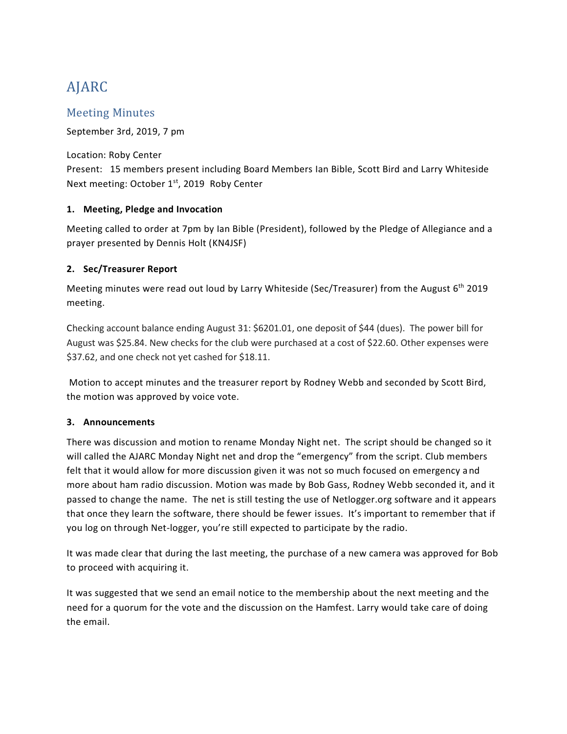# AJARC

## Meeting Minutes

September 3rd, 2019, 7 pm

Location: Roby Center Present: 15 members present including Board Members Ian Bible, Scott Bird and Larry Whiteside Next meeting: October 1<sup>st</sup>, 2019 Roby Center

### **1. Meeting, Pledge and Invocation**

Meeting called to order at 7pm by Ian Bible (President), followed by the Pledge of Allegiance and a prayer presented by Dennis Holt (KN4JSF)

### **2. Sec/Treasurer Report**

Meeting minutes were read out loud by Larry Whiteside (Sec/Treasurer) from the August 6<sup>th</sup> 2019 meeting.

Checking account balance ending August 31: \$6201.01, one deposit of \$44 (dues). The power bill for August was \$25.84. New checks for the club were purchased at a cost of \$22.60. Other expenses were \$37.62, and one check not yet cashed for \$18.11.

Motion to accept minutes and the treasurer report by Rodney Webb and seconded by Scott Bird, the motion was approved by voice vote.

#### **3. Announcements**

There was discussion and motion to rename Monday Night net. The script should be changed so it will called the AJARC Monday Night net and drop the "emergency" from the script. Club members felt that it would allow for more discussion given it was not so much focused on emergency and more about ham radio discussion. Motion was made by Bob Gass, Rodney Webb seconded it, and it passed to change the name. The net is still testing the use of Netlogger.org software and it appears that once they learn the software, there should be fewer issues. It's important to remember that if you log on through Net-logger, you're still expected to participate by the radio.

It was made clear that during the last meeting, the purchase of a new camera was approved for Bob to proceed with acquiring it.

It was suggested that we send an email notice to the membership about the next meeting and the need for a quorum for the vote and the discussion on the Hamfest. Larry would take care of doing the email.